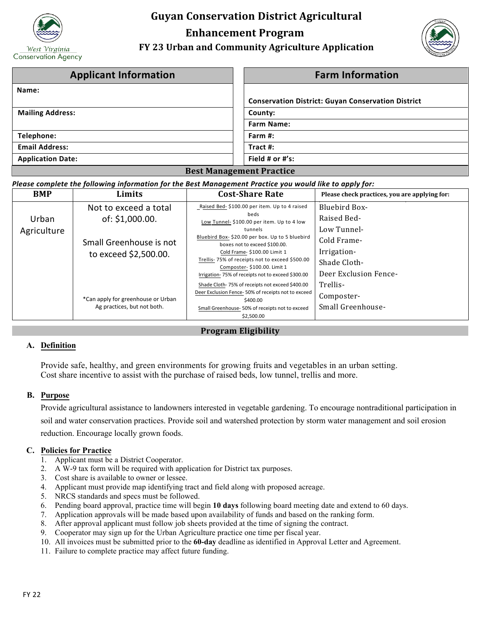

# **Guyan Conservation District Agricultural Enhancement Program**

# **FY 23 Urban and Community Agriculture Application**



| <b>Applicant Information</b>    | <b>Farm Information</b>                                   |  |  |
|---------------------------------|-----------------------------------------------------------|--|--|
| Name:                           |                                                           |  |  |
|                                 | <b>Conservation District: Guyan Conservation District</b> |  |  |
| <b>Mailing Address:</b>         | County:                                                   |  |  |
|                                 | <b>Farm Name:</b>                                         |  |  |
| Telephone:                      | Farm #:                                                   |  |  |
| <b>Email Address:</b>           | Tract $#$ :                                               |  |  |
| <b>Application Date:</b>        | Field # or $#$ 's:                                        |  |  |
| <b>Best Management Practice</b> |                                                           |  |  |

#### *Please complete the following information for the Best Management Practice you would like to apply for:*

| <b>BMP</b>           | Limits                             | <b>Cost-Share Rate</b>                                                            | Please check practices, you are applying for: |
|----------------------|------------------------------------|-----------------------------------------------------------------------------------|-----------------------------------------------|
|                      | Not to exceed a total              | Raised Bed- \$100.00 per item. Up to 4 raised<br>beds                             | <b>Bluebird Box-</b><br>Raised Bed-           |
| Urban<br>Agriculture | of: \$1,000.00.                    | Low Tunnel- \$100.00 per item. Up to 4 low<br>tunnels                             | Low Tunnel-                                   |
|                      | Small Greenhouse is not            | Bluebird Box- \$20.00 per box. Up to 5 bluebird<br>boxes not to exceed \$100.00.  | Cold Frame-                                   |
|                      | to exceed \$2,500.00.              | Cold Frame-\$100.00 Limit 1<br>Trellis-75% of receipts not to exceed \$500.00     | Irrigation-<br>Shade Cloth-                   |
|                      |                                    | Composter- \$100.00. Limit 1<br>Irrigation-75% of receipts not to exceed \$300.00 | Deer Exclusion Fence-                         |
|                      |                                    | Shade Cloth-75% of receipts not exceed \$400.00                                   | Trellis-                                      |
|                      | *Can apply for greenhouse or Urban | Deer Exclusion Fence-50% of receipts not to exceed<br>\$400.00                    | Composter-                                    |
|                      | Ag practices, but not both.        | Small Greenhouse-50% of receipts not to exceed                                    | Small Greenhouse-                             |
|                      |                                    | \$2,500.00                                                                        |                                               |

# **Program Eligibility**

# **A. Definition**

Provide safe, healthy, and green environments for growing fruits and vegetables in an urban setting. Cost share incentive to assist with the purchase of raised beds, low tunnel, trellis and more.

#### **B. Purpose**

Provide agricultural assistance to landowners interested in vegetable gardening. To encourage nontraditional participation in soil and water conservation practices. Provide soil and watershed protection by storm water management and soil erosion reduction. Encourage locally grown foods.

# **C. Policies for Practice**

- 1. Applicant must be a District Cooperator.
- 2. A W-9 tax form will be required with application for District tax purposes.
- 3. Cost share is available to owner or lessee.
- 4. Applicant must provide map identifying tract and field along with proposed acreage.
- 5. NRCS standards and specs must be followed.
- 6. Pending board approval, practice time will begin **10 days** following board meeting date and extend to 60 days.
- 7. Application approvals will be made based upon availability of funds and based on the ranking form.
- 8. After approval applicant must follow job sheets provided at the time of signing the contract.
- 9. Cooperator may sign up for the Urban Agriculture practice one time per fiscal year.
- 10. All invoices must be submitted prior to the **60-day** deadline as identified in Approval Letter and Agreement.
- 11. Failure to complete practice may affect future funding.